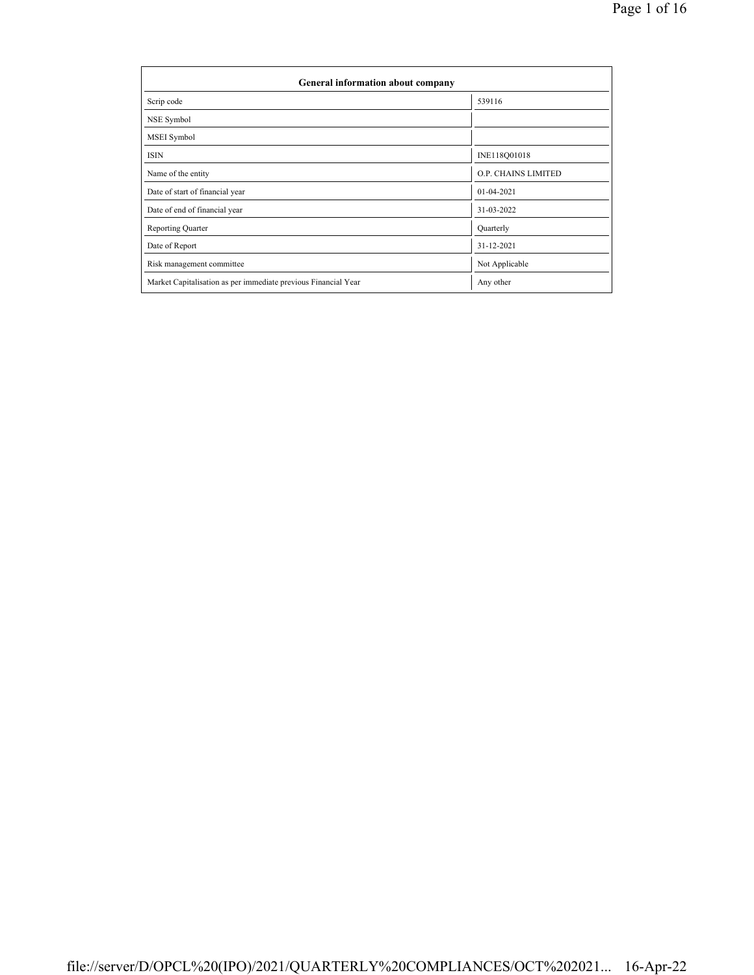| General information about company                              |                     |  |  |  |  |  |
|----------------------------------------------------------------|---------------------|--|--|--|--|--|
| Scrip code                                                     | 539116              |  |  |  |  |  |
| NSE Symbol                                                     |                     |  |  |  |  |  |
| MSEI Symbol                                                    |                     |  |  |  |  |  |
| <b>ISIN</b>                                                    | INE118Q01018        |  |  |  |  |  |
| Name of the entity                                             | O.P. CHAINS LIMITED |  |  |  |  |  |
| Date of start of financial year                                | $01 - 04 - 2021$    |  |  |  |  |  |
| Date of end of financial year                                  | 31-03-2022          |  |  |  |  |  |
| <b>Reporting Quarter</b>                                       | Quarterly           |  |  |  |  |  |
| Date of Report                                                 | 31-12-2021          |  |  |  |  |  |
| Risk management committee                                      | Not Applicable      |  |  |  |  |  |
| Market Capitalisation as per immediate previous Financial Year | Any other           |  |  |  |  |  |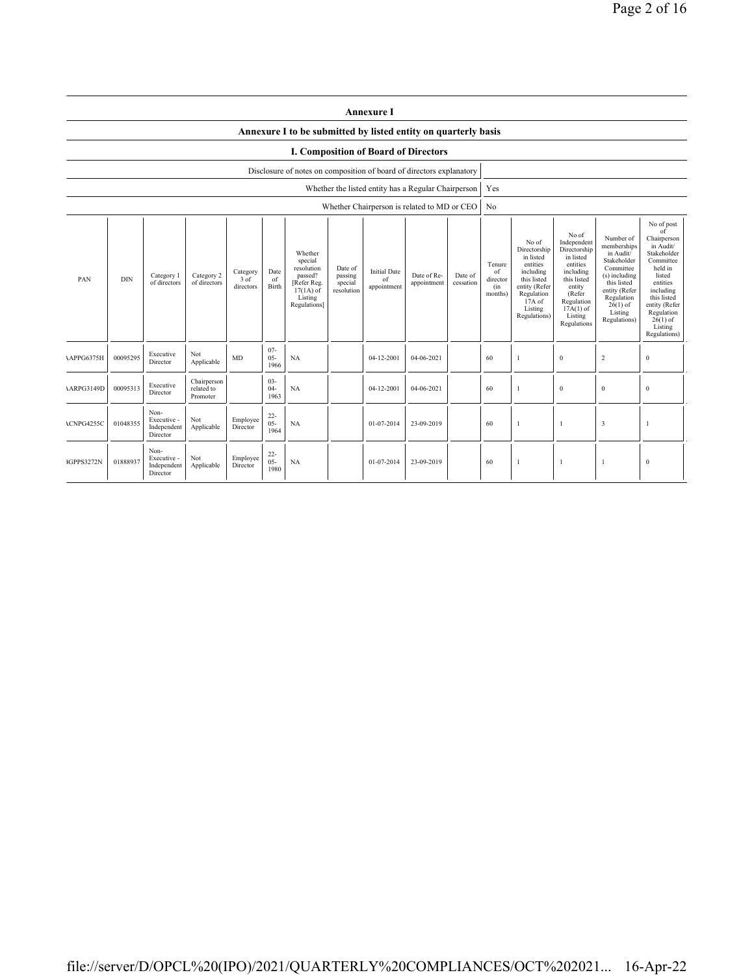|                                                                                                                                                                                                                                                                                                                                                                                                | <b>Annexure I</b>                                                    |                                                |                                       |                      |                                            |                                                                                                                                                |                                                                                                                                                                      |                                                                                                                                                                           |                                                                                                                                                                                                               |  |                |                |                |                         |              |
|------------------------------------------------------------------------------------------------------------------------------------------------------------------------------------------------------------------------------------------------------------------------------------------------------------------------------------------------------------------------------------------------|----------------------------------------------------------------------|------------------------------------------------|---------------------------------------|----------------------|--------------------------------------------|------------------------------------------------------------------------------------------------------------------------------------------------|----------------------------------------------------------------------------------------------------------------------------------------------------------------------|---------------------------------------------------------------------------------------------------------------------------------------------------------------------------|---------------------------------------------------------------------------------------------------------------------------------------------------------------------------------------------------------------|--|----------------|----------------|----------------|-------------------------|--------------|
|                                                                                                                                                                                                                                                                                                                                                                                                | Annexure I to be submitted by listed entity on quarterly basis       |                                                |                                       |                      |                                            |                                                                                                                                                |                                                                                                                                                                      |                                                                                                                                                                           |                                                                                                                                                                                                               |  |                |                |                |                         |              |
| <b>I. Composition of Board of Directors</b>                                                                                                                                                                                                                                                                                                                                                    |                                                                      |                                                |                                       |                      |                                            |                                                                                                                                                |                                                                                                                                                                      |                                                                                                                                                                           |                                                                                                                                                                                                               |  |                |                |                |                         |              |
|                                                                                                                                                                                                                                                                                                                                                                                                | Disclosure of notes on composition of board of directors explanatory |                                                |                                       |                      |                                            |                                                                                                                                                |                                                                                                                                                                      |                                                                                                                                                                           |                                                                                                                                                                                                               |  |                |                |                |                         |              |
|                                                                                                                                                                                                                                                                                                                                                                                                |                                                                      |                                                |                                       |                      |                                            |                                                                                                                                                |                                                                                                                                                                      |                                                                                                                                                                           | Whether the listed entity has a Regular Chairperson                                                                                                                                                           |  | Yes            |                |                |                         |              |
|                                                                                                                                                                                                                                                                                                                                                                                                |                                                                      |                                                |                                       |                      |                                            |                                                                                                                                                |                                                                                                                                                                      |                                                                                                                                                                           | Whether Chairperson is related to MD or CEO                                                                                                                                                                   |  | N <sub>0</sub> |                |                |                         |              |
| Whether<br>special<br>resolution<br>Date of<br><b>Initial Date</b><br>Date<br>Category<br>Category 2<br>Date of Re-<br>passed?<br>passing<br>Date of<br>Category 1<br><b>DIN</b><br>PAN<br>3 of<br>of<br>of<br>of directors<br>[Refer Reg.<br>of directors<br>appointment<br>cessation<br>special<br>directors<br>Birth<br>appointment<br>resolution<br>$17(1A)$ of<br>Listing<br>Regulations] |                                                                      |                                                |                                       |                      | Tenure<br>of<br>director<br>(in<br>months) | No of<br>Directorship<br>in listed<br>entities<br>including<br>this listed<br>entity (Refer<br>Regulation<br>17A of<br>Listing<br>Regulations) | No of<br>Independent<br>Directorship<br>in listed<br>entities<br>including<br>this listed<br>entity<br>(Refer<br>Regulation<br>$17A(1)$ of<br>Listing<br>Regulations | Number of<br>memberships<br>in Audit/<br>Stakeholder<br>Committee<br>(s) including<br>this listed<br>entity (Refer<br>Regulation<br>$26(1)$ of<br>Listing<br>Regulations) | No of post<br>of<br>Chairperson<br>in Audit/<br>Stakeholder<br>Committee<br>held in<br>listed<br>entities<br>including<br>this listed<br>entity (Refer<br>Regulation<br>$26(1)$ of<br>Listing<br>Regulations) |  |                |                |                |                         |              |
| APPG6375H                                                                                                                                                                                                                                                                                                                                                                                      | 00095295                                                             | Executive<br>Director                          | Not<br>Applicable                     | <b>MD</b>            | $07 -$<br>$05 -$<br>1966                   | NA                                                                                                                                             |                                                                                                                                                                      | 04-12-2001                                                                                                                                                                | 04-06-2021                                                                                                                                                                                                    |  | 60             | 1              | $\mathbf{0}$   | $\sqrt{2}$              | $\bf{0}$     |
| <b>ARPG3149D</b>                                                                                                                                                                                                                                                                                                                                                                               | 00095313                                                             | Executive<br>Director                          | Chairperson<br>related to<br>Promoter |                      | $03 -$<br>$04 -$<br>1963                   | NA                                                                                                                                             |                                                                                                                                                                      | 04-12-2001                                                                                                                                                                | 04-06-2021                                                                                                                                                                                                    |  | 60             | 1              | $\mathbf{0}$   | $\bf{0}$                | $\mathbf{0}$ |
| ACNPG4255C                                                                                                                                                                                                                                                                                                                                                                                     | 01048355                                                             | Non-<br>Executive -<br>Independent<br>Director | Not<br>Applicable                     | Employee<br>Director | $22 -$<br>$05 -$<br>1964                   | NA                                                                                                                                             |                                                                                                                                                                      | 01-07-2014                                                                                                                                                                | 23-09-2019                                                                                                                                                                                                    |  | 60             | $\mathbf{1}$   | $\overline{1}$ | $\overline{\mathbf{3}}$ |              |
| 3GPPS3272N                                                                                                                                                                                                                                                                                                                                                                                     | 01888937                                                             | Non-<br>Executive -<br>Independent<br>Director | Not<br>Applicable                     | Employee<br>Director | $22 -$<br>$05 -$<br>1980                   | NA                                                                                                                                             |                                                                                                                                                                      | 01-07-2014                                                                                                                                                                | 23-09-2019                                                                                                                                                                                                    |  | 60             | $\overline{1}$ | $\overline{1}$ | -1                      | $\bf{0}$     |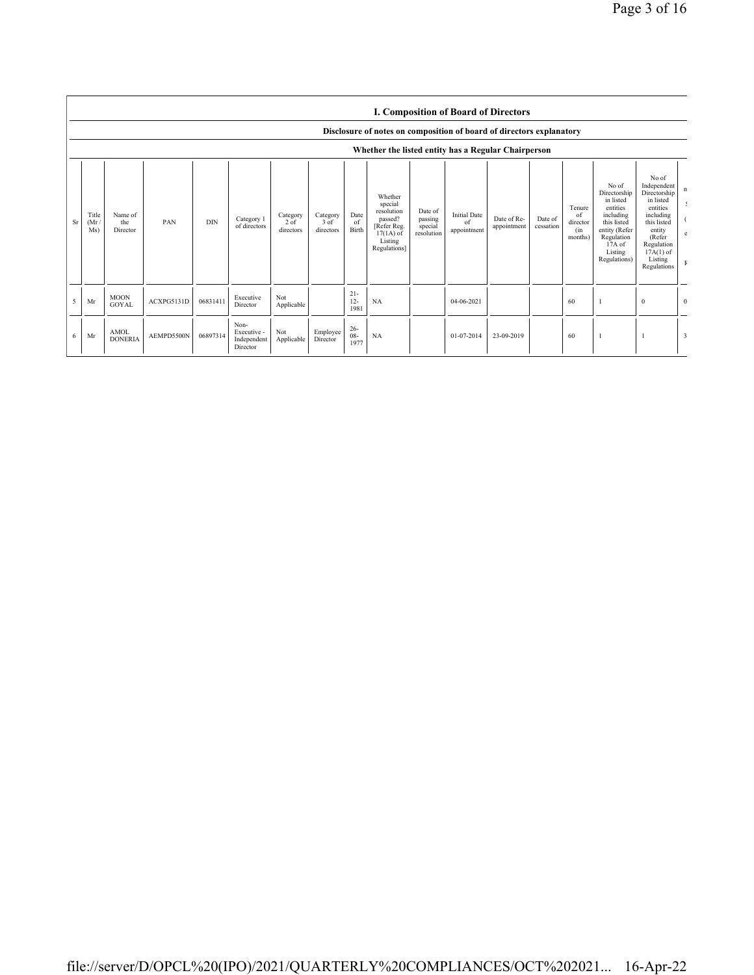|    | <b>I. Composition of Board of Directors</b><br>Disclosure of notes on composition of board of directors explanatory<br>Whether the listed entity has a Regular Chairperson |                               |            |            |                                                |                                 |                               |                          |                                                                                                      |                                             |                                          |                            |                      |                                            |                                                                                                                                                |                                                                                                                                                                      |                |
|----|----------------------------------------------------------------------------------------------------------------------------------------------------------------------------|-------------------------------|------------|------------|------------------------------------------------|---------------------------------|-------------------------------|--------------------------|------------------------------------------------------------------------------------------------------|---------------------------------------------|------------------------------------------|----------------------------|----------------------|--------------------------------------------|------------------------------------------------------------------------------------------------------------------------------------------------|----------------------------------------------------------------------------------------------------------------------------------------------------------------------|----------------|
| Sr | Title<br>(Mr)<br>Ms)                                                                                                                                                       | Name of<br>the<br>Director    | PAN        | <b>DIN</b> | Category 1<br>of directors                     | Category<br>$2$ of<br>directors | Category<br>3 of<br>directors | Date<br>of<br>Birth      | Whether<br>special<br>resolution<br>passed?<br>[Refer Reg.<br>$17(1A)$ of<br>Listing<br>Regulations] | Date of<br>passing<br>special<br>resolution | <b>Initial Date</b><br>of<br>appointment | Date of Re-<br>appointment | Date of<br>cessation | Tenure<br>of<br>director<br>(in<br>months) | No of<br>Directorship<br>in listed<br>entities<br>including<br>this listed<br>entity (Refer<br>Regulation<br>17A of<br>Listing<br>Regulations) | No of<br>Independent<br>Directorship<br>in listed<br>entities<br>including<br>this listed<br>entity<br>(Refer<br>Regulation<br>$17A(1)$ of<br>Listing<br>Regulations | n              |
| 5  | Mr                                                                                                                                                                         | <b>MOON</b><br><b>GOYAL</b>   | ACXPG5131D | 06831411   | Executive<br>Director                          | Not<br>Applicable               |                               | $21 -$<br>$12 -$<br>1981 | NA                                                                                                   |                                             | 04-06-2021                               |                            |                      | 60                                         |                                                                                                                                                | $\mathbf{0}$                                                                                                                                                         | $\overline{0}$ |
| 6  | Mr                                                                                                                                                                         | <b>AMOL</b><br><b>DONERIA</b> | AEMPD5500N | 06897314   | Non-<br>Executive -<br>Independent<br>Director | Not<br>Applicable               | Employee<br>Director          | $26 -$<br>$08 -$<br>1977 | NA                                                                                                   |                                             | 01-07-2014                               | 23-09-2019                 |                      | 60                                         |                                                                                                                                                |                                                                                                                                                                      | 3              |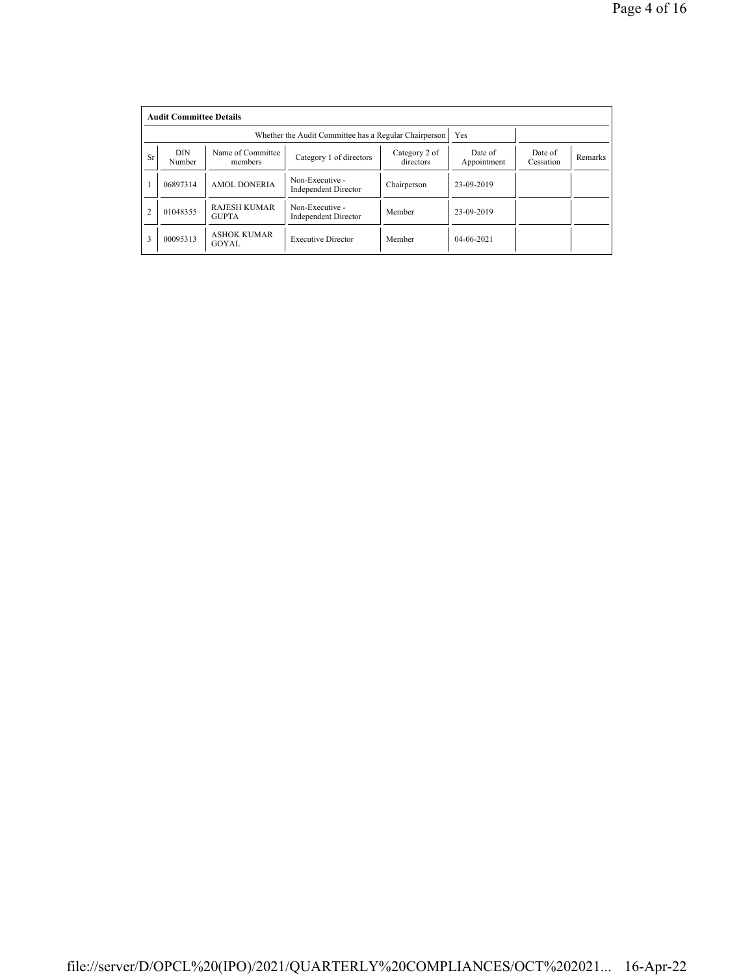|                | <b>Audit Committee Details</b> |                                     |                                                       |                            |                        |                      |         |  |  |  |
|----------------|--------------------------------|-------------------------------------|-------------------------------------------------------|----------------------------|------------------------|----------------------|---------|--|--|--|
|                |                                |                                     | Whether the Audit Committee has a Regular Chairperson | Yes                        |                        |                      |         |  |  |  |
| <b>Sr</b>      | <b>DIN</b><br>Number           | Name of Committee<br>members        | Category 1 of directors                               | Category 2 of<br>directors | Date of<br>Appointment | Date of<br>Cessation | Remarks |  |  |  |
|                | 06897314                       | <b>AMOL DONERIA</b>                 | Non-Executive -<br><b>Independent Director</b>        | Chairperson                | 23-09-2019             |                      |         |  |  |  |
| $\overline{2}$ | 01048355                       | <b>RAJESH KUMAR</b><br><b>GUPTA</b> | Non-Executive -<br><b>Independent Director</b>        | Member                     | 23-09-2019             |                      |         |  |  |  |
| 3              | 00095313                       | <b>ASHOK KUMAR</b><br>GOYAL         | <b>Executive Director</b>                             | Member                     | $04 - 06 - 2021$       |                      |         |  |  |  |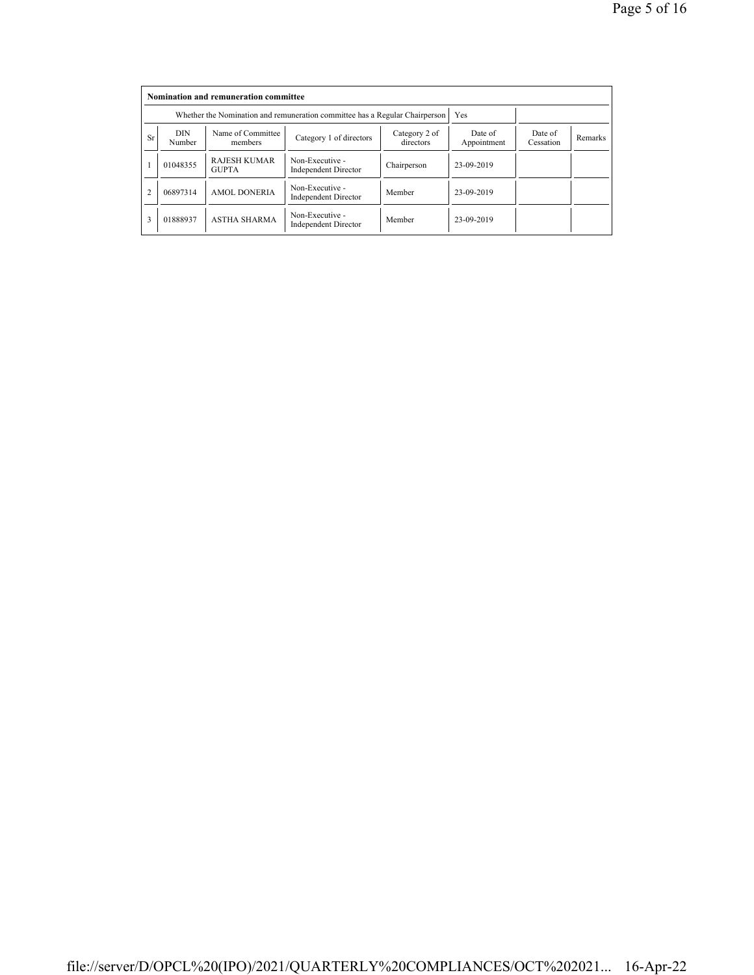|           | Nomination and remuneration committee |                                                                             |                                                |                            |                        |                      |         |  |  |  |
|-----------|---------------------------------------|-----------------------------------------------------------------------------|------------------------------------------------|----------------------------|------------------------|----------------------|---------|--|--|--|
|           |                                       | Whether the Nomination and remuneration committee has a Regular Chairperson |                                                | Yes                        |                        |                      |         |  |  |  |
| <b>Sr</b> | <b>DIN</b><br>Number                  | Name of Committee<br>members                                                | Category 1 of directors                        | Category 2 of<br>directors | Date of<br>Appointment | Date of<br>Cessation | Remarks |  |  |  |
|           | 01048355                              | <b>RAJESH KUMAR</b><br><b>GUPTA</b>                                         | Non-Executive -<br><b>Independent Director</b> | Chairperson                | 23-09-2019             |                      |         |  |  |  |
|           | 06897314                              | <b>AMOL DONERIA</b>                                                         | Non-Executive -<br><b>Independent Director</b> | Member                     | 23-09-2019             |                      |         |  |  |  |
| 3         | 01888937                              | <b>ASTHA SHARMA</b>                                                         | Non-Executive -<br><b>Independent Director</b> | Member                     | 23-09-2019             |                      |         |  |  |  |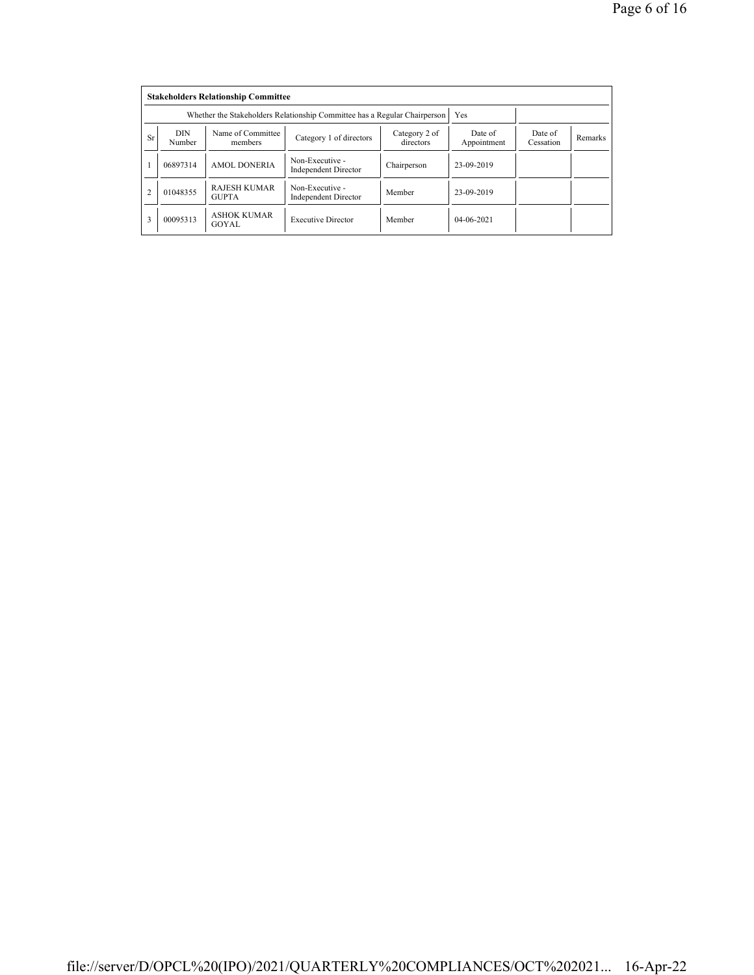|                | <b>Stakeholders Relationship Committee</b> |                                                                           |                                                |                            |                        |                      |         |  |  |  |
|----------------|--------------------------------------------|---------------------------------------------------------------------------|------------------------------------------------|----------------------------|------------------------|----------------------|---------|--|--|--|
|                |                                            | Whether the Stakeholders Relationship Committee has a Regular Chairperson |                                                | Yes                        |                        |                      |         |  |  |  |
| <b>Sr</b>      | <b>DIN</b><br>Number                       | Name of Committee<br>members                                              | Category 1 of directors                        | Category 2 of<br>directors | Date of<br>Appointment | Date of<br>Cessation | Remarks |  |  |  |
|                | 06897314                                   | <b>AMOL DONERIA</b>                                                       | Non-Executive -<br><b>Independent Director</b> | Chairperson                | 23-09-2019             |                      |         |  |  |  |
| $\overline{2}$ | 01048355                                   | <b>RAJESH KUMAR</b><br><b>GUPTA</b>                                       | Non-Executive -<br><b>Independent Director</b> | Member                     | 23-09-2019             |                      |         |  |  |  |
| 3              | 00095313                                   | <b>ASHOK KUMAR</b><br>GOYAL                                               | <b>Executive Director</b>                      | Member                     | $04 - 06 - 2021$       |                      |         |  |  |  |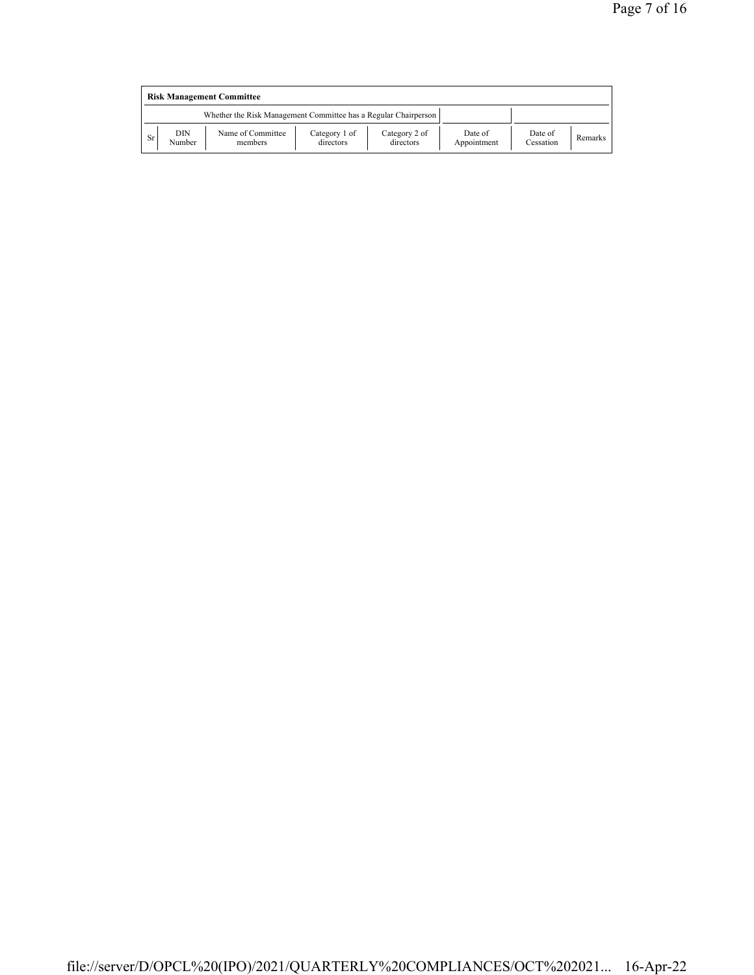| <b>Risk Management Committee</b> |               |                                                                 |                            |                            |                        |                      |         |  |
|----------------------------------|---------------|-----------------------------------------------------------------|----------------------------|----------------------------|------------------------|----------------------|---------|--|
|                                  |               | Whether the Risk Management Committee has a Regular Chairperson |                            |                            |                        |                      |         |  |
| Sr.                              | DIN<br>Number | Name of Committee<br>members                                    | Category 1 of<br>directors | Category 2 of<br>directors | Date of<br>Appointment | Date of<br>Cessation | Remarks |  |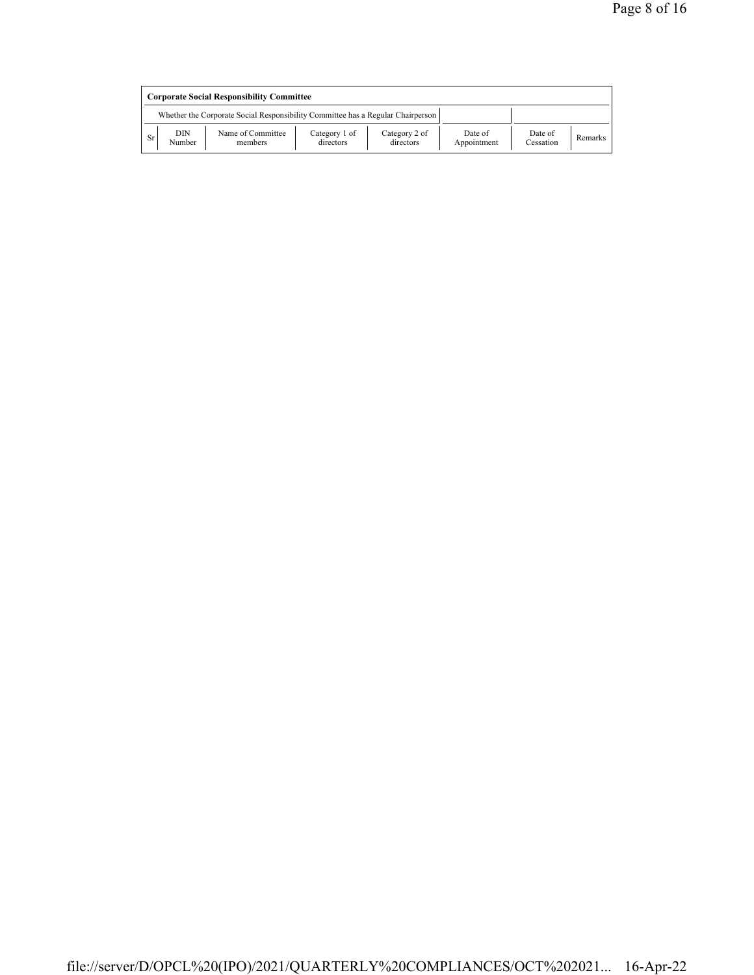| <b>Corporate Social Responsibility Committee</b> |               |                                                                                 |                            |                            |                        |                      |         |
|--------------------------------------------------|---------------|---------------------------------------------------------------------------------|----------------------------|----------------------------|------------------------|----------------------|---------|
|                                                  |               | Whether the Corporate Social Responsibility Committee has a Regular Chairperson |                            |                            |                        |                      |         |
| Sr                                               | DIN<br>Number | Name of Committee<br>members                                                    | Category 1 of<br>directors | Category 2 of<br>directors | Date of<br>Appointment | Date of<br>Cessation | Remarks |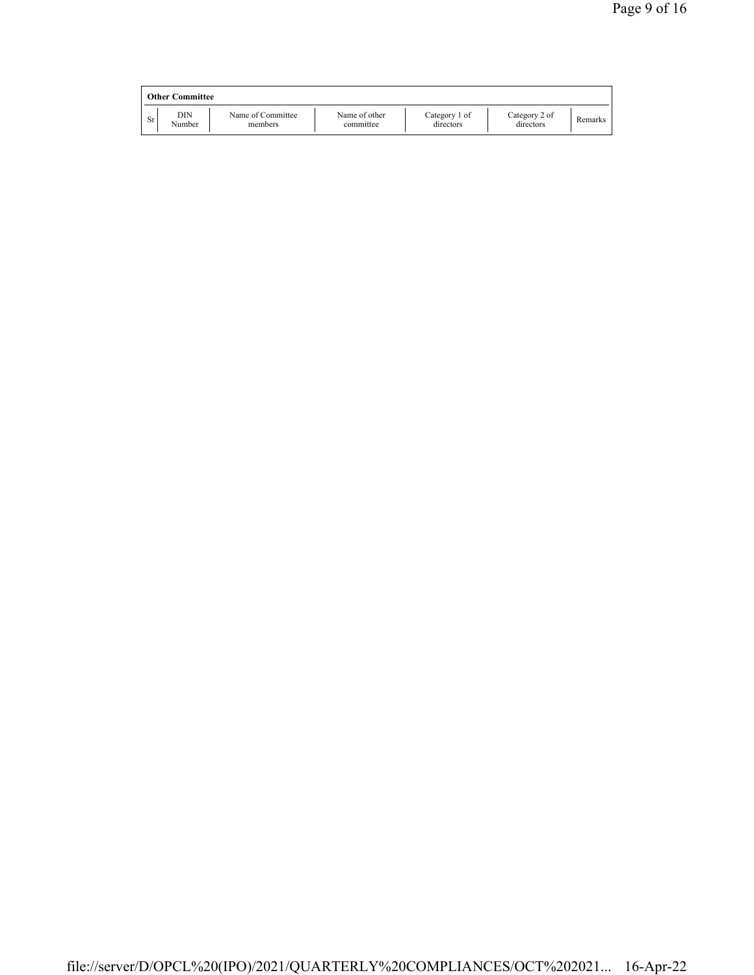|    | <b>Other Committee</b> |                              |                            |                            |                            |         |
|----|------------------------|------------------------------|----------------------------|----------------------------|----------------------------|---------|
| Sr | DIN<br>Number          | Name of Committee<br>members | Name of other<br>committee | Category 1 of<br>directors | Category 2 of<br>directors | Remarks |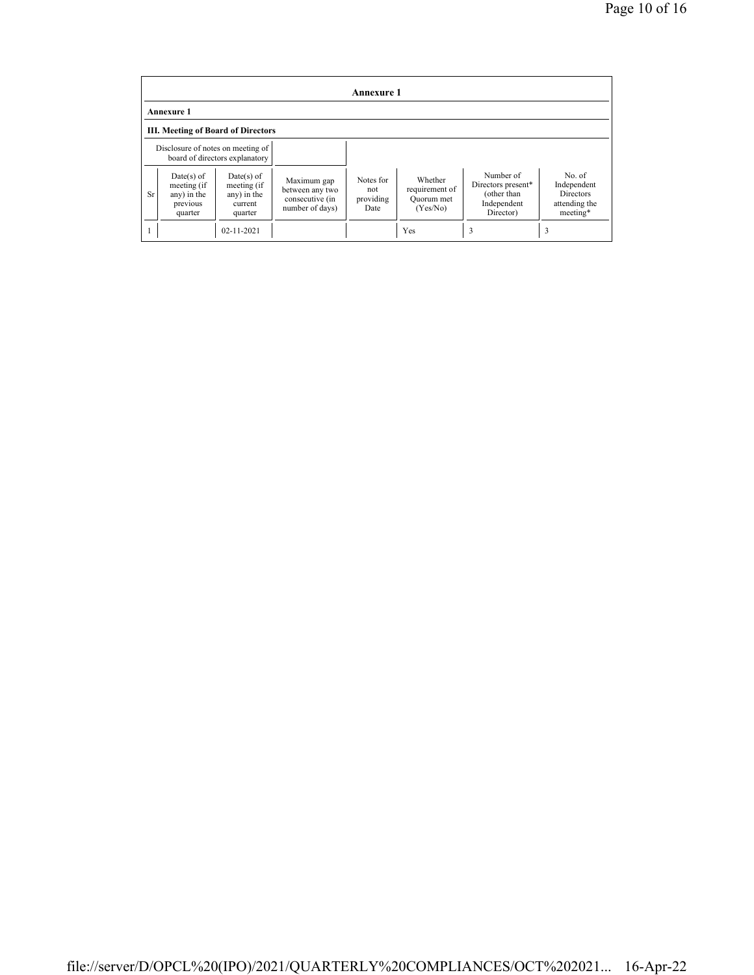| Annexure 1                                |                                                                   |                                                                  |                                                                      |                                       |                                                     |                                                                            |                                                                        |  |
|-------------------------------------------|-------------------------------------------------------------------|------------------------------------------------------------------|----------------------------------------------------------------------|---------------------------------------|-----------------------------------------------------|----------------------------------------------------------------------------|------------------------------------------------------------------------|--|
| <b>Annexure 1</b>                         |                                                                   |                                                                  |                                                                      |                                       |                                                     |                                                                            |                                                                        |  |
| <b>III. Meeting of Board of Directors</b> |                                                                   |                                                                  |                                                                      |                                       |                                                     |                                                                            |                                                                        |  |
|                                           | Disclosure of notes on meeting of                                 | board of directors explanatory                                   |                                                                      |                                       |                                                     |                                                                            |                                                                        |  |
| <b>Sr</b>                                 | $Date(s)$ of<br>meeting (if<br>any) in the<br>previous<br>quarter | $Date(s)$ of<br>meeting (if<br>any) in the<br>current<br>quarter | Maximum gap<br>between any two<br>consecutive (in<br>number of days) | Notes for<br>not<br>providing<br>Date | Whether<br>requirement of<br>Quorum met<br>(Yes/No) | Number of<br>Directors present*<br>(other than<br>Independent<br>Director) | No. of<br>Independent<br><b>Directors</b><br>attending the<br>meeting* |  |
|                                           |                                                                   | $02 - 11 - 2021$                                                 |                                                                      |                                       | Yes                                                 | 3                                                                          | 3                                                                      |  |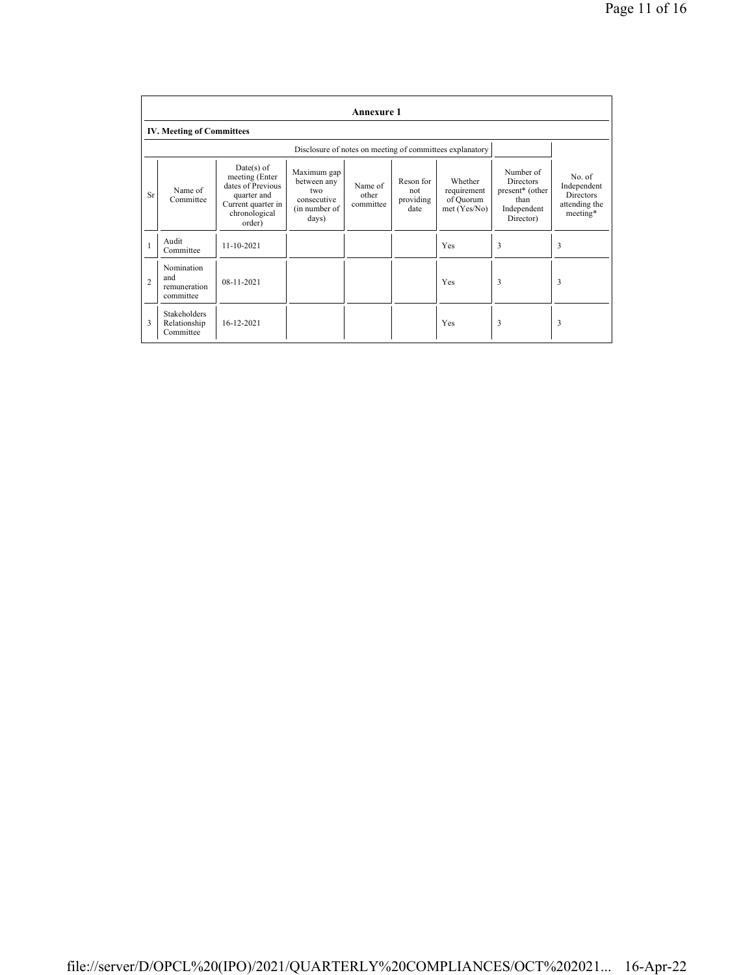|                | <b>Annexure 1</b>                                |                                                                                                                     |                                                                            |                               |                                       |                                                          |                                                                                                  |                                                                 |
|----------------|--------------------------------------------------|---------------------------------------------------------------------------------------------------------------------|----------------------------------------------------------------------------|-------------------------------|---------------------------------------|----------------------------------------------------------|--------------------------------------------------------------------------------------------------|-----------------------------------------------------------------|
|                | <b>IV. Meeting of Committees</b>                 |                                                                                                                     |                                                                            |                               |                                       |                                                          |                                                                                                  |                                                                 |
|                |                                                  |                                                                                                                     |                                                                            |                               |                                       | Disclosure of notes on meeting of committees explanatory |                                                                                                  |                                                                 |
| Sr             | Name of<br>Committee                             | $Date(s)$ of<br>meeting (Enter<br>dates of Previous<br>quarter and<br>Current quarter in<br>chronological<br>order) | Maximum gap<br>between any<br>two<br>consecutive<br>(in number of<br>days) | Name of<br>other<br>committee | Reson for<br>not<br>providing<br>date | Whether<br>requirement<br>of Quorum<br>met(Yes/No)       | Number of<br><b>Directors</b><br>present <sup>*</sup> (other<br>than<br>Independent<br>Director) | No. of<br>Independent<br>Directors<br>attending the<br>meeting* |
| $\mathbf{1}$   | Audit<br>Committee                               | 11-10-2021                                                                                                          |                                                                            |                               |                                       | Yes                                                      | 3                                                                                                | 3                                                               |
| $\overline{2}$ | Nomination<br>and<br>remuneration<br>committee   | 08-11-2021                                                                                                          |                                                                            |                               |                                       | Yes                                                      | 3                                                                                                | 3                                                               |
| 3              | <b>Stakeholders</b><br>Relationship<br>Committee | 16-12-2021                                                                                                          |                                                                            |                               |                                       | Yes                                                      | 3                                                                                                | 3                                                               |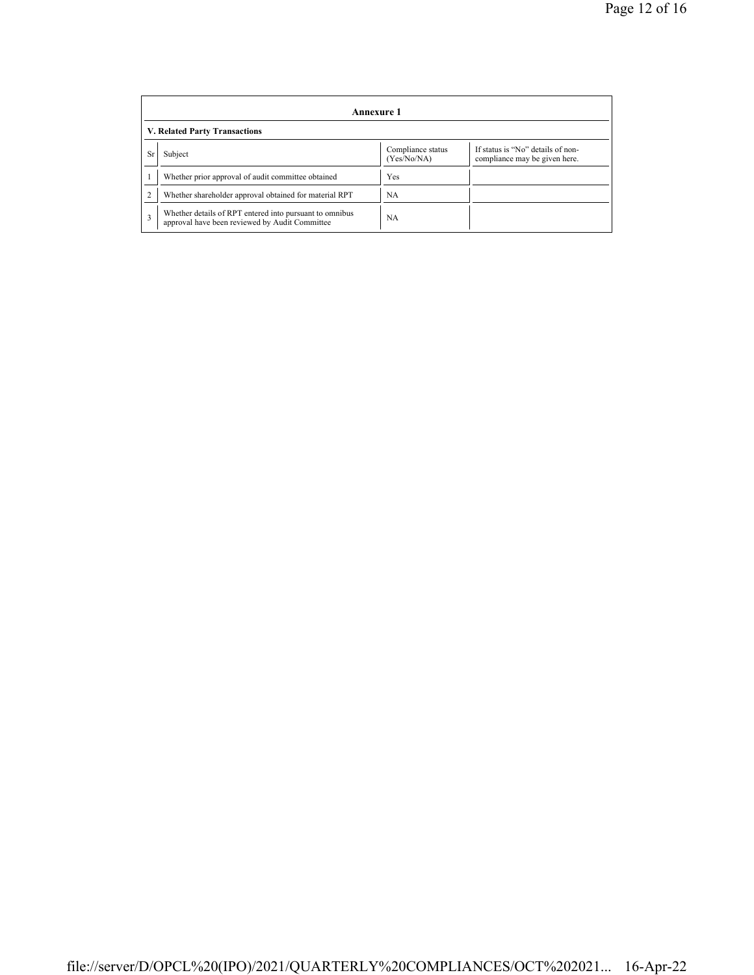|           | Annexure 1                                                                                                |                                  |                                                                    |  |  |  |  |  |
|-----------|-----------------------------------------------------------------------------------------------------------|----------------------------------|--------------------------------------------------------------------|--|--|--|--|--|
|           | V. Related Party Transactions                                                                             |                                  |                                                                    |  |  |  |  |  |
| <b>Sr</b> | Subject                                                                                                   | Compliance status<br>(Yes/No/NA) | If status is "No" details of non-<br>compliance may be given here. |  |  |  |  |  |
|           | Whether prior approval of audit committee obtained                                                        | Yes                              |                                                                    |  |  |  |  |  |
|           | Whether shareholder approval obtained for material RPT                                                    | NA                               |                                                                    |  |  |  |  |  |
| 3         | Whether details of RPT entered into pursuant to omnibus<br>approval have been reviewed by Audit Committee | NA                               |                                                                    |  |  |  |  |  |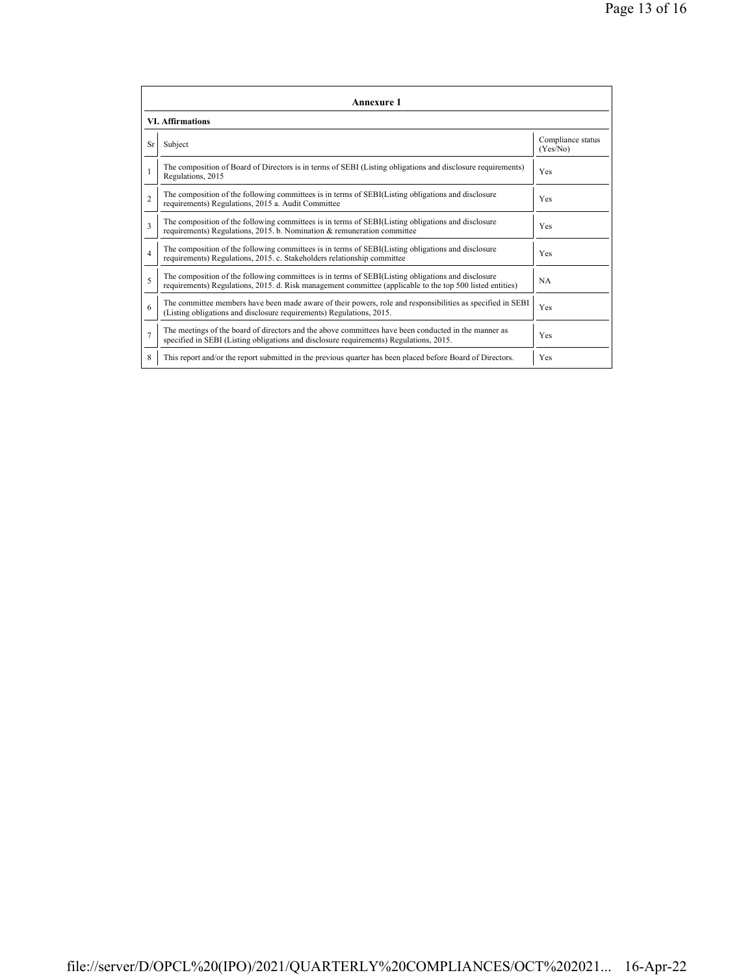|                         | <b>Annexure 1</b>                                                                                                                                                                                               |                               |  |  |  |
|-------------------------|-----------------------------------------------------------------------------------------------------------------------------------------------------------------------------------------------------------------|-------------------------------|--|--|--|
| <b>VI. Affirmations</b> |                                                                                                                                                                                                                 |                               |  |  |  |
| <b>Sr</b>               | Subject                                                                                                                                                                                                         | Compliance status<br>(Yes/No) |  |  |  |
|                         | The composition of Board of Directors is in terms of SEBI (Listing obligations and disclosure requirements)<br>Regulations, 2015                                                                                | Yes                           |  |  |  |
| $\mathfrak{D}$          | The composition of the following committees is in terms of SEBI(Listing obligations and disclosure<br>requirements) Regulations, 2015 a. Audit Committee                                                        | <b>Yes</b>                    |  |  |  |
| 3                       | The composition of the following committees is in terms of SEBI(Listing obligations and disclosure<br>requirements) Regulations, 2015. b. Nomination & remuneration committee                                   | Yes                           |  |  |  |
| $\overline{4}$          | The composition of the following committees is in terms of SEBI(Listing obligations and disclosure<br>requirements) Regulations, 2015. c. Stakeholders relationship committee                                   | Yes                           |  |  |  |
| 5                       | The composition of the following committees is in terms of SEBI(Listing obligations and disclosure<br>requirements) Regulations, 2015. d. Risk management committee (applicable to the top 500 listed entities) | <b>NA</b>                     |  |  |  |
| 6                       | The committee members have been made aware of their powers, role and responsibilities as specified in SEBI<br>(Listing obligations and disclosure requirements) Regulations, 2015.                              | Yes                           |  |  |  |
| $\overline{7}$          | The meetings of the board of directors and the above committees have been conducted in the manner as<br>specified in SEBI (Listing obligations and disclosure requirements) Regulations, 2015.                  | Yes                           |  |  |  |
| 8                       | This report and/or the report submitted in the previous quarter has been placed before Board of Directors.                                                                                                      | Yes                           |  |  |  |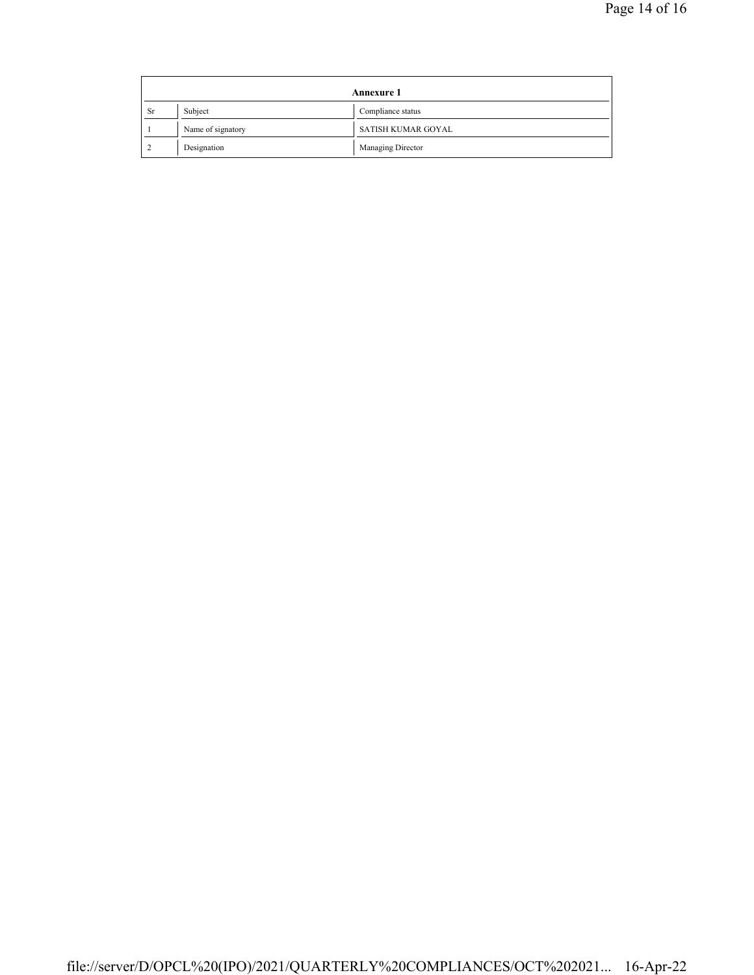| <b>Annexure 1</b> |                   |                    |  |
|-------------------|-------------------|--------------------|--|
| <b>Sr</b>         | Subject           | Compliance status  |  |
|                   | Name of signatory | SATISH KUMAR GOYAL |  |
|                   | Designation       | Managing Director  |  |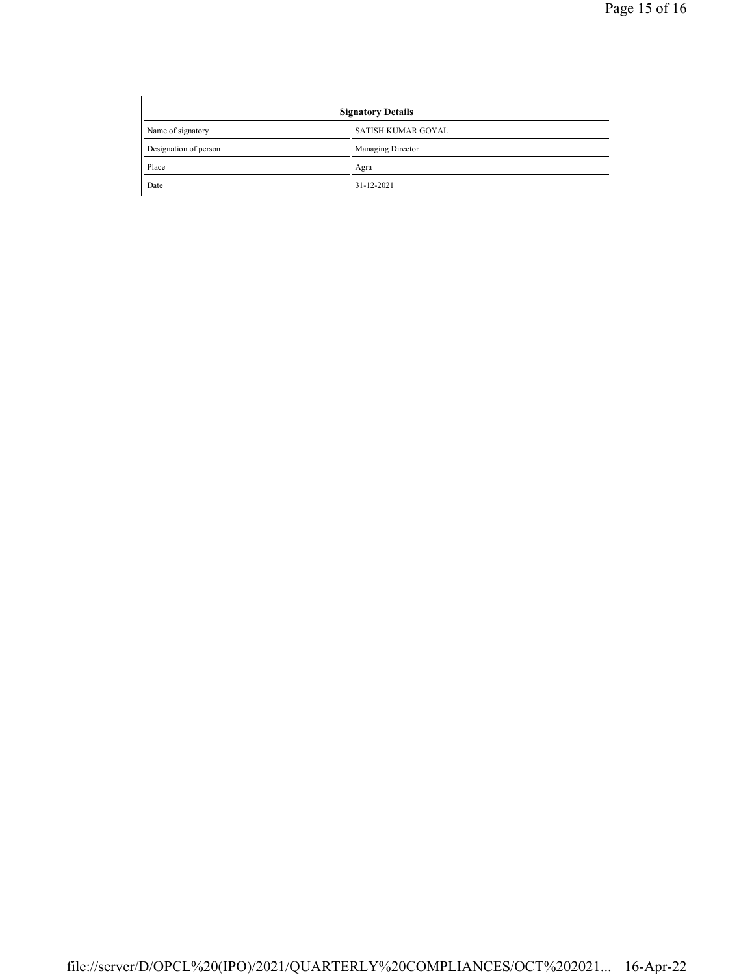| <b>Signatory Details</b> |                    |  |
|--------------------------|--------------------|--|
| Name of signatory        | SATISH KUMAR GOYAL |  |
| Designation of person    | Managing Director  |  |
| Place                    | Agra               |  |
| Date                     | 31-12-2021         |  |